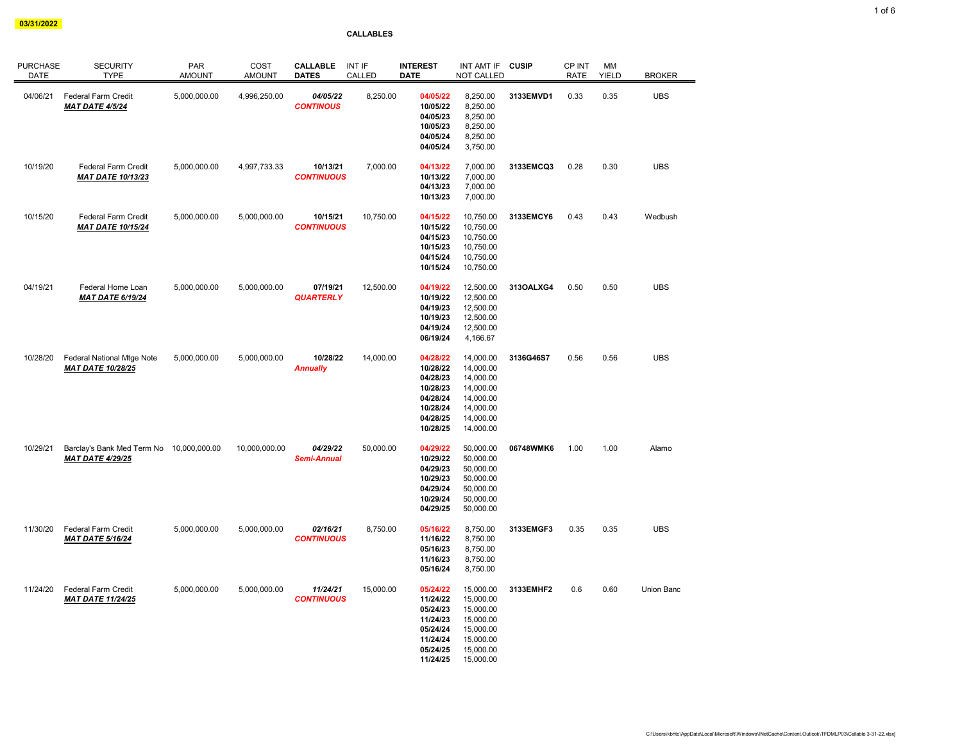от произведения с последником составение с последником составение с последником составение с последником состав<br>Обизование с последником составение с последником составение с последником составение с последником составени

## CALLABLES

| <b>PURCHASE</b><br>DATE | <b>SECURITY</b><br><b>TYPE</b>                                      | <b>PAR</b><br><b>AMOUNT</b> | COST<br><b>AMOUNT</b> | <b>CALLABLE</b><br><b>DATES</b> | INT IF<br>CALLED | <b>INTEREST</b><br><b>DATE</b>                                                               | INT AMT IF<br>NOT CALLED                                                                             | <b>CUSIP</b> | CP INT<br><b>RATE</b> | MM<br><b>YIELD</b> | <b>BROKER</b> |
|-------------------------|---------------------------------------------------------------------|-----------------------------|-----------------------|---------------------------------|------------------|----------------------------------------------------------------------------------------------|------------------------------------------------------------------------------------------------------|--------------|-----------------------|--------------------|---------------|
| 04/06/21                | Federal Farm Credit<br><b>MAT DATE 4/5/24</b>                       | 5,000,000.00                | 4,996,250.00          | 04/05/22<br><b>CONTINOUS</b>    | 8,250.00         | 04/05/22<br>10/05/22<br>04/05/23<br>10/05/23<br>04/05/24<br>04/05/24                         | 8,250.00<br>8,250.00<br>8,250.00<br>8,250.00<br>8,250.00<br>3,750.00                                 | 3133EMVD1    | 0.33                  | 0.35               | <b>UBS</b>    |
| 10/19/20                | Federal Farm Credit<br><b>MAT DATE 10/13/23</b>                     | 5,000,000.00                | 4,997,733.33          | 10/13/21<br><b>CONTINUOUS</b>   | 7,000.00         | 04/13/22<br>10/13/22<br>04/13/23<br>10/13/23                                                 | 7,000.00<br>7,000.00<br>7,000.00<br>7,000.00                                                         | 3133EMCQ3    | 0.28                  | 0.30               | <b>UBS</b>    |
| 10/15/20                | Federal Farm Credit<br><b>MAT DATE 10/15/24</b>                     | 5,000,000.00                | 5,000,000.00          | 10/15/21<br><b>CONTINUOUS</b>   | 10,750.00        | 04/15/22<br>10/15/22<br>04/15/23<br>10/15/23<br>04/15/24<br>10/15/24                         | 10,750.00<br>10,750.00<br>10,750.00<br>10,750.00<br>10,750.00<br>10,750.00                           | 3133EMCY6    | 0.43                  | 0.43               | Wedbush       |
| 04/19/21                | Federal Home Loan<br><b>MAT DATE 6/19/24</b>                        | 5,000,000.00                | 5,000,000.00          | 07/19/21<br><b>QUARTERLY</b>    | 12,500.00        | 04/19/22<br>10/19/22<br>04/19/23<br>10/19/23<br>04/19/24<br>06/19/24                         | 12,500.00<br>12,500.00<br>12,500.00<br>12,500.00<br>12,500.00<br>4,166.67                            | 313OALXG4    | 0.50                  | 0.50               | <b>UBS</b>    |
| 10/28/20                | Federal National Mtge Note<br><b>MAT DATE 10/28/25</b>              | 5,000,000.00                | 5,000,000.00          | 10/28/22<br><b>Annually</b>     | 14,000.00        | 04/28/22<br>10/28/22<br>04/28/23<br>10/28/23<br>04/28/24<br>10/28/24<br>04/28/25<br>10/28/25 | 14,000.00<br>14,000.00<br>14,000.00<br>14,000.00<br>14,000.00<br>14,000.00<br>14,000.00<br>14,000.00 | 3136G46S7    | 0.56                  | 0.56               | <b>UBS</b>    |
| 10/29/21                | Barclay's Bank Med Term No 10,000,000.00<br><b>MAT DATE 4/29/25</b> |                             | 10,000,000.00         | 04/29/22<br><b>Semi-Annual</b>  | 50,000.00        | 04/29/22<br>10/29/22<br>04/29/23<br>10/29/23<br>04/29/24<br>10/29/24<br>04/29/25             | 50,000.00<br>50,000.00<br>50,000.00<br>50,000.00<br>50,000.00<br>50,000.00<br>50,000.00              | 06748WMK6    | 1.00                  | 1.00               | Alamo         |
| 11/30/20                | Federal Farm Credit<br><b>MAT DATE 5/16/24</b>                      | 5,000,000.00                | 5,000,000.00          | 02/16/21<br><b>CONTINUOUS</b>   | 8,750.00         | 05/16/22<br>11/16/22<br>05/16/23<br>11/16/23<br>05/16/24                                     | 8,750.00<br>8,750.00<br>8,750.00<br>8,750.00<br>8,750.00                                             | 3133EMGF3    | 0.35                  | 0.35               | <b>UBS</b>    |
| 11/24/20                | Federal Farm Credit<br><b>MAT DATE 11/24/25</b>                     | 5,000,000.00                | 5,000,000.00          | 11/24/21<br><b>CONTINUOUS</b>   | 15,000.00        | 05/24/22<br>11/24/22<br>05/24/23<br>11/24/23<br>05/24/24<br>11/24/24<br>05/24/25<br>11/24/25 | 15,000.00<br>15,000.00<br>15,000.00<br>15,000.00<br>15,000.00<br>15,000.00<br>15,000.00<br>15,000.00 | 3133EMHF2    | 0.6                   | 0.60               | Union Banc    |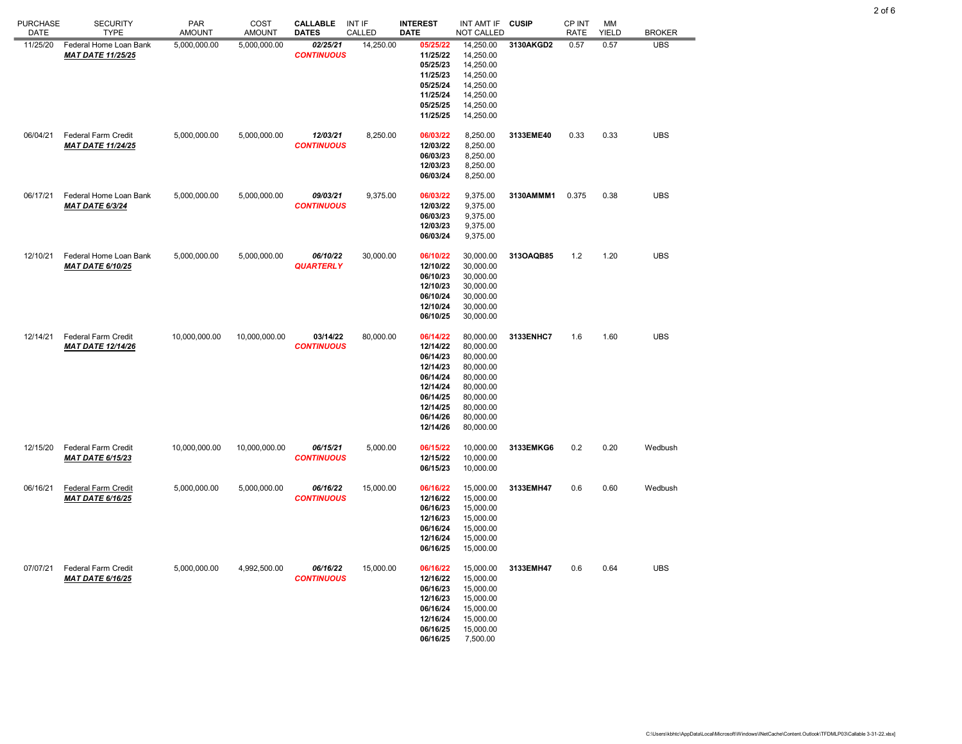| <b>PURCHASE</b><br>DATE | <b>SECURITY</b><br><b>TYPE</b>                        | <b>PAR</b><br><b>AMOUNT</b> | COST<br><b>AMOUNT</b> | <b>CALLABLE</b><br><b>DATES</b> | <b>INT IF</b><br>CALLED | <b>INTEREST</b><br><b>DATE</b>                                                                                       | INT AMT IF<br>NOT CALLED                                                                                                       | <b>CUSIP</b> | CP INT<br><b>RATE</b> | MM<br><b>YIELD</b> | <b>BROKER</b> |
|-------------------------|-------------------------------------------------------|-----------------------------|-----------------------|---------------------------------|-------------------------|----------------------------------------------------------------------------------------------------------------------|--------------------------------------------------------------------------------------------------------------------------------|--------------|-----------------------|--------------------|---------------|
| 11/25/20                | Federal Home Loan Bank<br><b>MAT DATE 11/25/25</b>    | 5,000,000.00                | 5,000,000.00          | 02/25/21<br><b>CONTINUOUS</b>   | 14,250.00               | 05/25/22<br>11/25/22<br>05/25/23<br>11/25/23<br>05/25/24<br>11/25/24<br>05/25/25<br>11/25/25                         | 14,250.00<br>14,250.00<br>14,250.00<br>14,250.00<br>14,250.00<br>14,250.00<br>14,250.00<br>14,250.00                           | 3130AKGD2    | 0.57                  | 0.57               | <b>UBS</b>    |
| 06/04/21                | Federal Farm Credit<br><b>MAT DATE 11/24/25</b>       | 5,000,000.00                | 5,000,000.00          | 12/03/21<br><b>CONTINUOUS</b>   | 8,250.00                | 06/03/22<br>12/03/22<br>06/03/23<br>12/03/23<br>06/03/24                                                             | 8,250.00<br>8,250.00<br>8,250.00<br>8,250.00<br>8,250.00                                                                       | 3133EME40    | 0.33                  | 0.33               | <b>UBS</b>    |
| 06/17/21                | Federal Home Loan Bank<br>MAT DATE 6/3/24             | 5,000,000.00                | 5,000,000.00          | 09/03/21<br><b>CONTINUOUS</b>   | 9,375.00                | 06/03/22<br>12/03/22<br>06/03/23<br>12/03/23<br>06/03/24                                                             | 9,375.00<br>9,375.00<br>9,375.00<br>9,375.00<br>9,375.00                                                                       | 3130AMMM1    | 0.375                 | 0.38               | <b>UBS</b>    |
| 12/10/21                | Federal Home Loan Bank<br><b>MAT DATE 6/10/25</b>     | 5,000,000.00                | 5,000,000.00          | 06/10/22<br><b>QUARTERLY</b>    | 30,000.00               | 06/10/22<br>12/10/22<br>06/10/23<br>12/10/23<br>06/10/24<br>12/10/24<br>06/10/25                                     | 30,000.00<br>30,000.00<br>30,000.00<br>30,000.00<br>30,000.00<br>30,000.00<br>30,000.00                                        | 313OAQB85    | $1.2$                 | 1.20               | <b>UBS</b>    |
| 12/14/21                | Federal Farm Credit<br><b>MAT DATE 12/14/26</b>       | 10,000,000.00               | 10,000,000.00         | 03/14/22<br><b>CONTINUOUS</b>   | 80,000.00               | 06/14/22<br>12/14/22<br>06/14/23<br>12/14/23<br>06/14/24<br>12/14/24<br>06/14/25<br>12/14/25<br>06/14/26<br>12/14/26 | 80,000.00<br>80,000.00<br>80,000.00<br>80,000.00<br>80,000.00<br>80,000.00<br>80,000.00<br>80,000.00<br>80,000.00<br>80,000.00 | 3133ENHC7    | 1.6                   | 1.60               | <b>UBS</b>    |
| 12/15/20                | Federal Farm Credit<br><b>MAT DATE 6/15/23</b>        | 10,000,000.00               | 10,000,000.00         | 06/15/21<br><b>CONTINUOUS</b>   | 5,000.00                | 06/15/22<br>12/15/22<br>06/15/23                                                                                     | 10,000.00<br>10,000.00<br>10,000.00                                                                                            | 3133EMKG6    | 0.2                   | 0.20               | Wedbush       |
| 06/16/21                | <b>Federal Farm Credit</b><br><b>MAT DATE 6/16/25</b> | 5,000,000.00                | 5,000,000.00          | 06/16/22<br><b>CONTINUOUS</b>   | 15,000.00               | 06/16/22<br>12/16/22<br>06/16/23<br>12/16/23<br>06/16/24<br>12/16/24<br>06/16/25                                     | 15,000.00<br>15,000.00<br>15,000.00<br>15,000.00<br>15,000.00<br>15,000.00<br>15,000.00                                        | 3133EMH47    | 0.6                   | 0.60               | Wedbush       |
| 07/07/21                | Federal Farm Credit<br><b>MAT DATE 6/16/25</b>        | 5,000,000.00                | 4,992,500.00          | 06/16/22<br><b>CONTINUOUS</b>   | 15,000.00               | 06/16/22<br>12/16/22<br>06/16/23<br>12/16/23<br>06/16/24<br>12/16/24<br>06/16/25<br>06/16/25                         | 15,000.00<br>15,000.00<br>15,000.00<br>15,000.00<br>15,000.00<br>15,000.00<br>15,000.00<br>7,500.00                            | 3133EMH47    | 0.6                   | 0.64               | <b>UBS</b>    |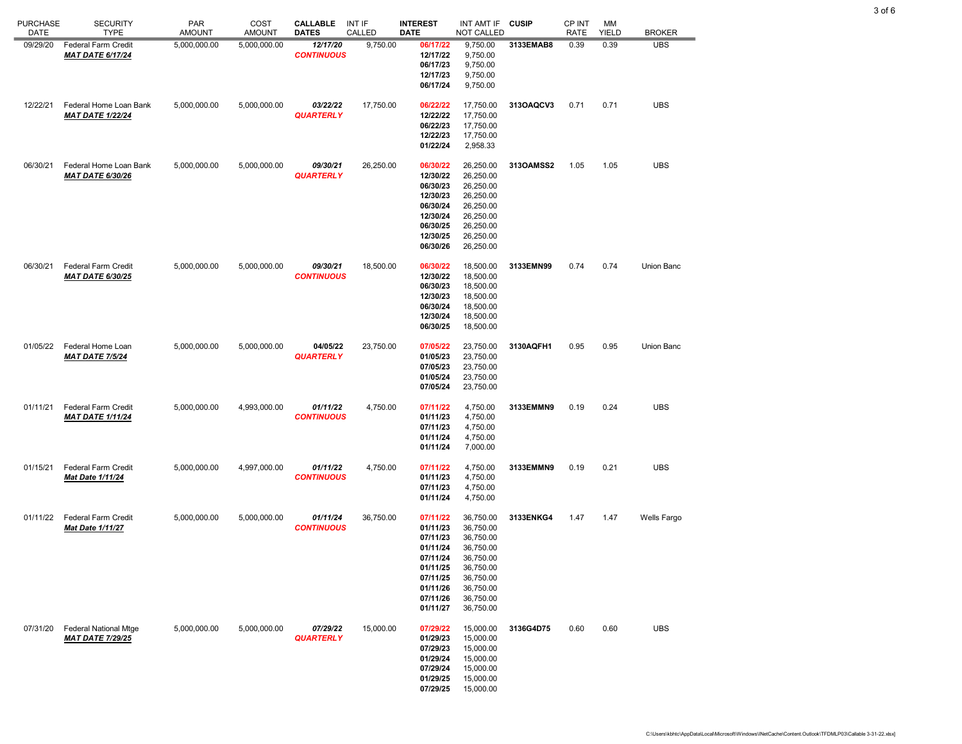| <b>PURCHASE</b><br>DATE | <b>SECURITY</b><br><b>TYPE</b>                          | <b>PAR</b><br><b>AMOUNT</b> | COST<br><b>AMOUNT</b> | <b>CALLABLE</b><br><b>DATES</b> | INT IF<br>CALLED | <b>INTEREST</b><br><b>DATE</b>                                                                                       | INT AMT IF<br>NOT CALLED                                                                                                       | <b>CUSIP</b> | <b>CP INT</b><br><b>RATE</b> | МM<br><b>YIELD</b> | <b>BROKER</b> |
|-------------------------|---------------------------------------------------------|-----------------------------|-----------------------|---------------------------------|------------------|----------------------------------------------------------------------------------------------------------------------|--------------------------------------------------------------------------------------------------------------------------------|--------------|------------------------------|--------------------|---------------|
| 09/29/20                | Federal Farm Credit<br><b>MAT DATE 6/17/24</b>          | 5,000,000.00                | 5,000,000.00          | 12/17/20<br><b>CONTINUOUS</b>   | 9,750.00         | 06/17/22<br>12/17/22<br>06/17/23<br>12/17/23<br>06/17/24                                                             | 9,750.00<br>9,750.00<br>9,750.00<br>9,750.00<br>9,750.00                                                                       | 3133EMAB8    | 0.39                         | 0.39               | <b>UBS</b>    |
| 12/22/21                | Federal Home Loan Bank<br><b>MAT DATE 1/22/24</b>       | 5,000,000.00                | 5,000,000.00          | 03/22/22<br><b>QUARTERLY</b>    | 17,750.00        | 06/22/22<br>12/22/22<br>06/22/23<br>12/22/23<br>01/22/24                                                             | 17,750.00<br>17,750.00<br>17,750.00<br>17,750.00<br>2,958.33                                                                   | 3130AQCV3    | 0.71                         | 0.71               | <b>UBS</b>    |
| 06/30/21                | Federal Home Loan Bank<br><b>MAT DATE 6/30/26</b>       | 5,000,000.00                | 5,000,000.00          | 09/30/21<br><b>QUARTERLY</b>    | 26,250.00        | 06/30/22<br>12/30/22<br>06/30/23<br>12/30/23<br>06/30/24<br>12/30/24<br>06/30/25<br>12/30/25<br>06/30/26             | 26,250.00<br>26,250.00<br>26,250.00<br>26,250.00<br>26,250.00<br>26,250.00<br>26,250.00<br>26,250.00<br>26,250.00              | 313OAMSS2    | 1.05                         | 1.05               | <b>UBS</b>    |
| 06/30/21                | <b>Federal Farm Credit</b><br><b>MAT DATE 6/30/25</b>   | 5,000,000.00                | 5,000,000.00          | 09/30/21<br><b>CONTINUOUS</b>   | 18,500.00        | 06/30/22<br>12/30/22<br>06/30/23<br>12/30/23<br>06/30/24<br>12/30/24<br>06/30/25                                     | 18,500.00<br>18,500.00<br>18,500.00<br>18,500.00<br>18,500.00<br>18,500.00<br>18,500.00                                        | 3133EMN99    | 0.74                         | 0.74               | Union Banc    |
| 01/05/22                | Federal Home Loan<br><b>MAT DATE 7/5/24</b>             | 5,000,000.00                | 5,000,000.00          | 04/05/22<br><b>QUARTERLY</b>    | 23,750.00        | 07/05/22<br>01/05/23<br>07/05/23<br>01/05/24<br>07/05/24                                                             | 23,750.00<br>23,750.00<br>23,750.00<br>23,750.00<br>23,750.00                                                                  | 3130AQFH1    | 0.95                         | 0.95               | Union Banc    |
| 01/11/21                | <b>Federal Farm Credit</b><br><b>MAT DATE 1/11/24</b>   | 5,000,000.00                | 4,993,000.00          | 01/11/22<br><b>CONTINUOUS</b>   | 4,750.00         | 07/11/22<br>01/11/23<br>07/11/23<br>01/11/24<br>01/11/24                                                             | 4,750.00<br>4,750.00<br>4,750.00<br>4,750.00<br>7,000.00                                                                       | 3133EMMN9    | 0.19                         | 0.24               | <b>UBS</b>    |
| 01/15/21                | <b>Federal Farm Credit</b><br>Mat Date 1/11/24          | 5,000,000.00                | 4,997,000.00          | 01/11/22<br><b>CONTINUOUS</b>   | 4,750.00         | 07/11/22<br>01/11/23<br>07/11/23<br>01/11/24                                                                         | 4,750.00<br>4,750.00<br>4,750.00<br>4,750.00                                                                                   | 3133EMMN9    | 0.19                         | 0.21               | <b>UBS</b>    |
| 01/11/22                | Federal Farm Credit<br><b>Mat Date 1/11/27</b>          | 5,000,000.00                | 5,000,000.00          | 01/11/24<br><b>CONTINUOUS</b>   | 36,750.00        | 07/11/22<br>01/11/23<br>07/11/23<br>01/11/24<br>07/11/24<br>01/11/25<br>07/11/25<br>01/11/26<br>07/11/26<br>01/11/27 | 36,750.00<br>36,750.00<br>36,750.00<br>36,750.00<br>36,750.00<br>36,750.00<br>36,750.00<br>36,750.00<br>36,750.00<br>36,750.00 | 3133ENKG4    | 1.47                         | 1.47               | Wells Fargo   |
| 07/31/20                | <b>Federal National Mtge</b><br><b>MAT DATE 7/29/25</b> | 5,000,000.00                | 5,000,000.00          | 07/29/22<br><b>QUARTERLY</b>    | 15,000.00        | 07/29/22<br>01/29/23<br>07/29/23<br>01/29/24<br>07/29/24<br>01/29/25<br>07/29/25                                     | 15,000.00<br>15,000.00<br>15,000.00<br>15,000.00<br>15,000.00<br>15,000.00<br>15,000.00                                        | 3136G4D75    | 0.60                         | 0.60               | <b>UBS</b>    |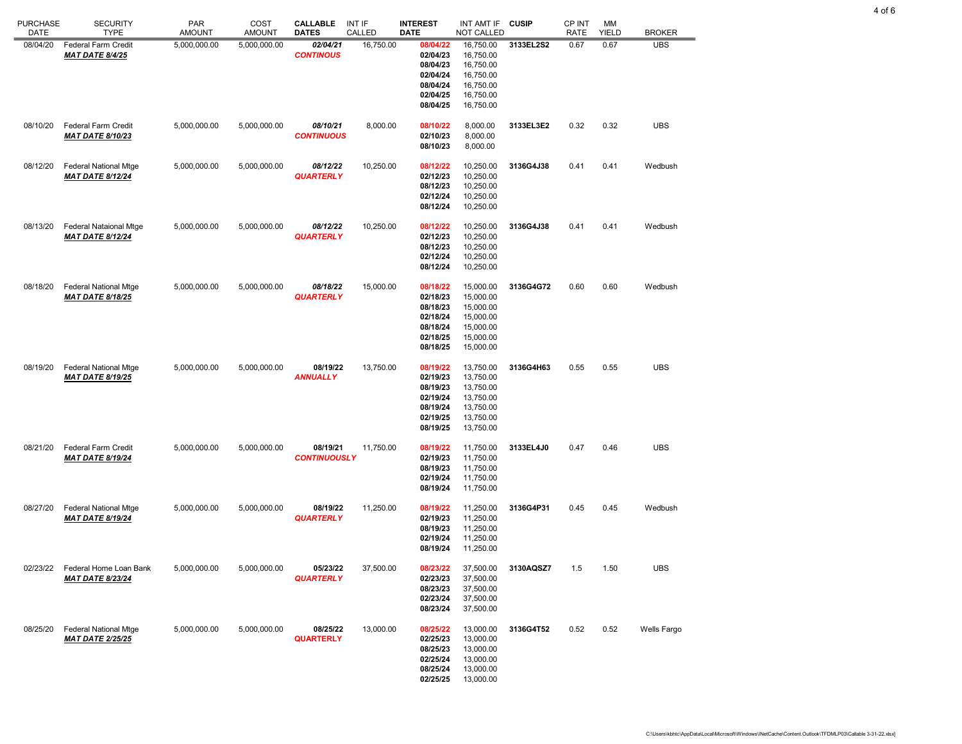| <b>PURCHASE</b><br>DATE | <b>SECURITY</b><br><b>TYPE</b>                           | <b>PAR</b><br><b>AMOUNT</b> | COST<br><b>AMOUNT</b> | <b>CALLABLE</b><br><b>DATES</b> | INT IF<br>CALLED | <b>INTEREST</b><br><b>DATE</b>                                                   | INT AMT IF<br>NOT CALLED                                                                | <b>CUSIP</b> | CP INT<br><b>RATE</b> | МM<br><b>YIELD</b> | <b>BROKER</b> |
|-------------------------|----------------------------------------------------------|-----------------------------|-----------------------|---------------------------------|------------------|----------------------------------------------------------------------------------|-----------------------------------------------------------------------------------------|--------------|-----------------------|--------------------|---------------|
| 08/04/20                | <b>Federal Farm Credit</b><br><b>MAT DATE 8/4/25</b>     | 5,000,000.00                | 5,000,000.00          | 02/04/21<br><b>CONTINOUS</b>    | 16,750.00        | 08/04/22<br>02/04/23<br>08/04/23<br>02/04/24<br>08/04/24<br>02/04/25<br>08/04/25 | 16,750.00<br>16,750.00<br>16,750.00<br>16,750.00<br>16,750.00<br>16,750.00<br>16,750.00 | 3133EL2S2    | 0.67                  | 0.67               | <b>UBS</b>    |
| 08/10/20                | <b>Federal Farm Credit</b><br><b>MAT DATE 8/10/23</b>    | 5,000,000.00                | 5,000,000.00          | 08/10/21<br><b>CONTINUOUS</b>   | 8,000.00         | 08/10/22<br>02/10/23<br>08/10/23                                                 | 8,000.00<br>8,000.00<br>8,000.00                                                        | 3133EL3E2    | 0.32                  | 0.32               | <b>UBS</b>    |
| 08/12/20                | <b>Federal National Mtge</b><br><b>MAT DATE 8/12/24</b>  | 5,000,000.00                | 5,000,000.00          | 08/12/22<br><b>QUARTERLY</b>    | 10,250.00        | 08/12/22<br>02/12/23<br>08/12/23<br>02/12/24<br>08/12/24                         | 10,250.00<br>10,250.00<br>10,250.00<br>10,250.00<br>10,250.00                           | 3136G4J38    | 0.41                  | 0.41               | Wedbush       |
| 08/13/20                | <b>Federal Nataional Mtge</b><br><b>MAT DATE 8/12/24</b> | 5,000,000.00                | 5,000,000.00          | 08/12/22<br><b>QUARTERLY</b>    | 10,250.00        | 08/12/22<br>02/12/23<br>08/12/23<br>02/12/24<br>08/12/24                         | 10,250.00<br>10,250.00<br>10,250.00<br>10,250.00<br>10,250.00                           | 3136G4J38    | 0.41                  | 0.41               | Wedbush       |
| 08/18/20                | <b>Federal National Mtge</b><br><b>MAT DATE 8/18/25</b>  | 5,000,000.00                | 5,000,000.00          | 08/18/22<br><b>QUARTERLY</b>    | 15,000.00        | 08/18/22<br>02/18/23<br>08/18/23<br>02/18/24<br>08/18/24<br>02/18/25<br>08/18/25 | 15,000.00<br>15,000.00<br>15,000.00<br>15,000.00<br>15,000.00<br>15,000.00<br>15,000.00 | 3136G4G72    | 0.60                  | 0.60               | Wedbush       |
| 08/19/20                | <b>Federal National Mtge</b><br><b>MAT DATE 8/19/25</b>  | 5,000,000.00                | 5,000,000.00          | 08/19/22<br><b>ANNUALLY</b>     | 13,750.00        | 08/19/22<br>02/19/23<br>08/19/23<br>02/19/24<br>08/19/24<br>02/19/25<br>08/19/25 | 13,750.00<br>13,750.00<br>13,750.00<br>13,750.00<br>13,750.00<br>13,750.00<br>13,750.00 | 3136G4H63    | 0.55                  | 0.55               | <b>UBS</b>    |
| 08/21/20                | <b>Federal Farm Credit</b><br><b>MAT DATE 8/19/24</b>    | 5,000,000.00                | 5,000,000.00          | 08/19/21<br><b>CONTINUOUSLY</b> | 11,750.00        | 08/19/22<br>02/19/23<br>08/19/23<br>02/19/24<br>08/19/24                         | 11,750.00<br>11,750.00<br>11,750.00<br>11,750.00<br>11,750.00                           | 3133EL4J0    | 0.47                  | 0.46               | <b>UBS</b>    |
| 08/27/20                | <b>Federal National Mtge</b><br><b>MAT DATE 8/19/24</b>  | 5,000,000.00                | 5,000,000.00          | 08/19/22<br><b>QUARTERLY</b>    | 11,250.00        | 08/19/22<br>02/19/23<br>08/19/23<br>02/19/24<br>08/19/24                         | 11,250.00<br>11,250.00<br>11,250.00<br>11,250.00<br>11,250.00                           | 3136G4P31    | 0.45                  | 0.45               | Wedbush       |
| 02/23/22                | Federal Home Loan Bank<br><b>MAT DATE 8/23/24</b>        | 5,000,000.00                | 5,000,000.00          | 05/23/22<br><b>QUARTERLY</b>    | 37,500.00        | 08/23/22<br>02/23/23<br>08/23/23<br>02/23/24<br>08/23/24                         | 37,500.00<br>37,500.00<br>37,500.00<br>37,500.00<br>37,500.00                           | 3130AQSZ7    | 1.5                   | 1.50               | <b>UBS</b>    |
| 08/25/20                | <b>Federal National Mtge</b><br><b>MAT DATE 2/25/25</b>  | 5,000,000.00                | 5,000,000.00          | 08/25/22<br><b>QUARTERLY</b>    | 13,000.00        | 08/25/22<br>02/25/23<br>08/25/23<br>02/25/24<br>08/25/24<br>02/25/25             | 13,000.00<br>13,000.00<br>13,000.00<br>13,000.00<br>13,000.00<br>13,000.00              | 3136G4T52    | 0.52                  | 0.52               | Wells Fargo   |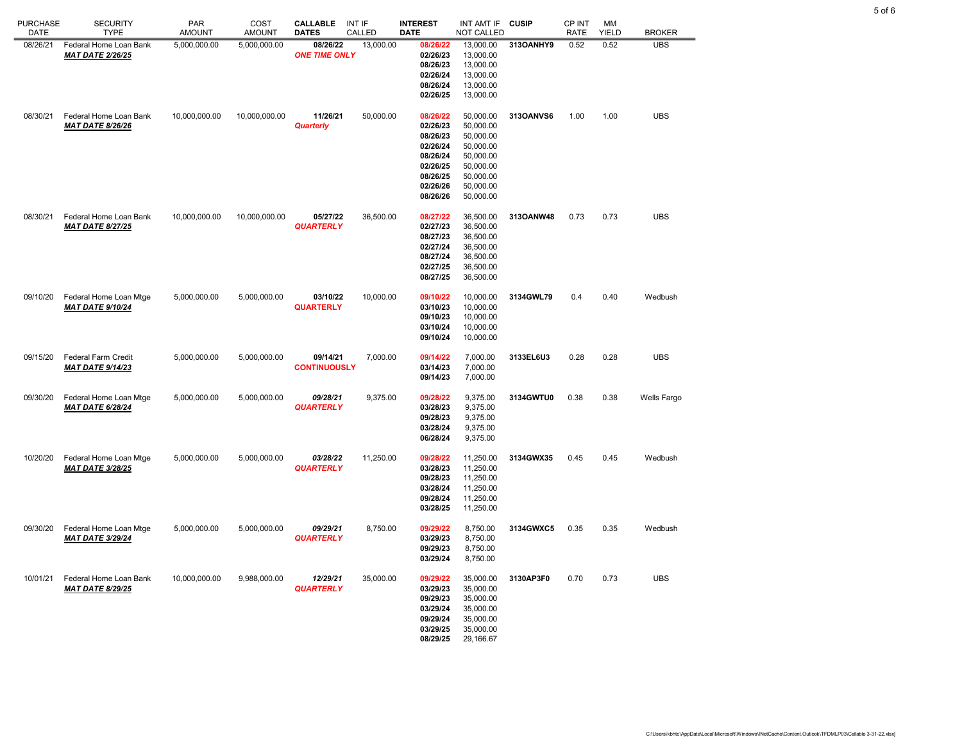| <b>PURCHASE</b><br>DATE | <b>SECURITY</b><br><b>TYPE</b>                    | <b>PAR</b><br><b>AMOUNT</b> | COST<br><b>AMOUNT</b> | <b>CALLABLE</b><br><b>DATES</b>  | INT IF<br>CALLED | <b>INTEREST</b><br>DATE                                                                                  | INT AMT IF<br><b>NOT CALLED</b>                                                                                   | <b>CUSIP</b> | CP INT<br><b>RATE</b> | MМ<br><b>YIELD</b> | <b>BROKER</b> |
|-------------------------|---------------------------------------------------|-----------------------------|-----------------------|----------------------------------|------------------|----------------------------------------------------------------------------------------------------------|-------------------------------------------------------------------------------------------------------------------|--------------|-----------------------|--------------------|---------------|
| 08/26/21                | Federal Home Loan Bank<br><b>MAT DATE 2/26/25</b> | 5,000,000.00                | 5,000,000.00          | 08/26/22<br><b>ONE TIME ONLY</b> | 13,000.00        | 08/26/22<br>02/26/23<br>08/26/23<br>02/26/24<br>08/26/24<br>02/26/25                                     | 13,000.00<br>13,000.00<br>13,000.00<br>13,000.00<br>13,000.00<br>13,000.00                                        | 313OANHY9    | 0.52                  | 0.52               | <b>UBS</b>    |
| 08/30/21                | Federal Home Loan Bank<br><b>MAT DATE 8/26/26</b> | 10,000,000.00               | 10,000,000.00         | 11/26/21<br>Quarterly            | 50,000.00        | 08/26/22<br>02/26/23<br>08/26/23<br>02/26/24<br>08/26/24<br>02/26/25<br>08/26/25<br>02/26/26<br>08/26/26 | 50,000.00<br>50,000.00<br>50,000.00<br>50,000.00<br>50,000.00<br>50,000.00<br>50,000.00<br>50,000.00<br>50,000.00 | 313OANVS6    | 1.00                  | 1.00               | <b>UBS</b>    |
| 08/30/21                | Federal Home Loan Bank<br><b>MAT DATE 8/27/25</b> | 10,000,000.00               | 10,000,000.00         | 05/27/22<br><b>QUARTERLY</b>     | 36,500.00        | 08/27/22<br>02/27/23<br>08/27/23<br>02/27/24<br>08/27/24<br>02/27/25<br>08/27/25                         | 36,500.00<br>36,500.00<br>36,500.00<br>36,500.00<br>36,500.00<br>36,500.00<br>36,500.00                           | 313OANW48    | 0.73                  | 0.73               | <b>UBS</b>    |
| 09/10/20                | Federal Home Loan Mtge<br><b>MAT DATE 9/10/24</b> | 5,000,000.00                | 5,000,000.00          | 03/10/22<br><b>QUARTERLY</b>     | 10,000.00        | 09/10/22<br>03/10/23<br>09/10/23<br>03/10/24<br>09/10/24                                                 | 10,000.00<br>10,000.00<br>10,000.00<br>10,000.00<br>10,000.00                                                     | 3134GWL79    | 0.4                   | 0.40               | Wedbush       |
| 09/15/20                | Federal Farm Credit<br><b>MAT DATE 9/14/23</b>    | 5,000,000.00                | 5,000,000.00          | 09/14/21<br><b>CONTINUOUSLY</b>  | 7,000.00         | 09/14/22<br>03/14/23<br>09/14/23                                                                         | 7,000.00<br>7,000.00<br>7,000.00                                                                                  | 3133EL6U3    | 0.28                  | 0.28               | <b>UBS</b>    |
| 09/30/20                | Federal Home Loan Mtge<br><b>MAT DATE 6/28/24</b> | 5,000,000.00                | 5,000,000.00          | 09/28/21<br><b>QUARTERLY</b>     | 9,375.00         | 09/28/22<br>03/28/23<br>09/28/23<br>03/28/24<br>06/28/24                                                 | 9,375.00<br>9,375.00<br>9,375.00<br>9,375.00<br>9,375.00                                                          | 3134GWTU0    | 0.38                  | 0.38               | Wells Fargo   |
| 10/20/20                | Federal Home Loan Mtge<br><b>MAT DATE 3/28/25</b> | 5,000,000.00                | 5,000,000.00          | 03/28/22<br><b>QUARTERLY</b>     | 11,250.00        | 09/28/22<br>03/28/23<br>09/28/23<br>03/28/24<br>09/28/24<br>03/28/25                                     | 11,250.00<br>11,250.00<br>11,250.00<br>11,250.00<br>11,250.00<br>11,250.00                                        | 3134GWX35    | 0.45                  | 0.45               | Wedbush       |
| 09/30/20                | Federal Home Loan Mtge<br><b>MAT DATE 3/29/24</b> | 5,000,000.00                | 5,000,000.00          | 09/29/21<br><b>QUARTERLY</b>     | 8,750.00         | 09/29/22<br>03/29/23<br>09/29/23<br>03/29/24                                                             | 8,750.00<br>8,750.00<br>8,750.00<br>8,750.00                                                                      | 3134GWXC5    | 0.35                  | 0.35               | Wedbush       |
| 10/01/21                | Federal Home Loan Bank<br><b>MAT DATE 8/29/25</b> | 10,000,000.00               | 9,988,000.00          | 12/29/21<br><b>QUARTERLY</b>     | 35,000.00        | 09/29/22<br>03/29/23<br>09/29/23<br>03/29/24<br>09/29/24<br>03/29/25<br>08/29/25                         | 35,000.00<br>35,000.00<br>35,000.00<br>35,000.00<br>35,000.00<br>35,000.00<br>29,166.67                           | 3130AP3F0    | 0.70                  | 0.73               | <b>UBS</b>    |

5 of 6